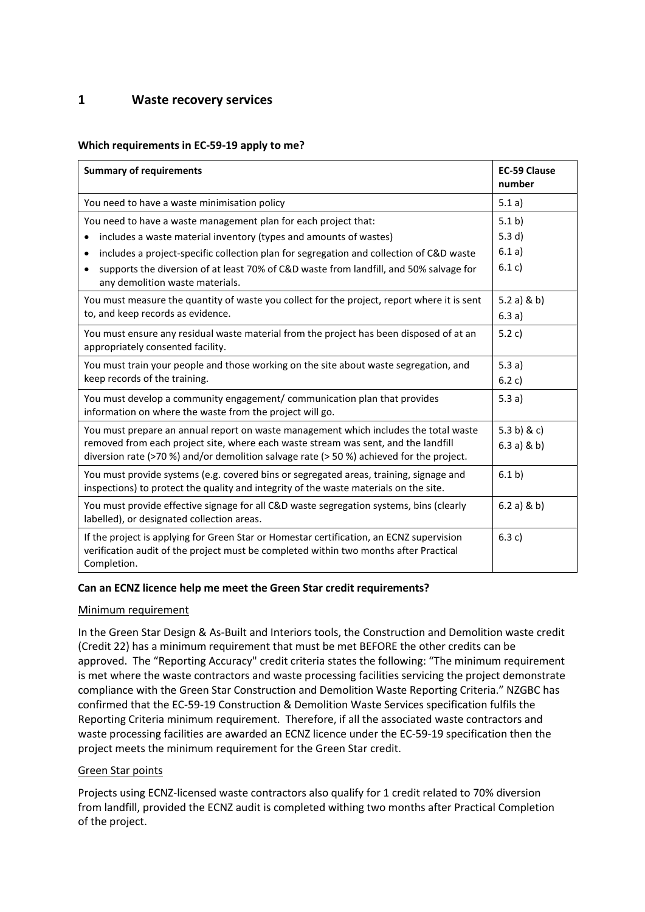## **1 Waste recovery services**

### **Which requirements in EC-59-19 apply to me?**

| <b>Summary of requirements</b>                                                                                                                                                                   | <b>EC-59 Clause</b><br>number |
|--------------------------------------------------------------------------------------------------------------------------------------------------------------------------------------------------|-------------------------------|
| You need to have a waste minimisation policy                                                                                                                                                     | 5.1 a)                        |
| You need to have a waste management plan for each project that:                                                                                                                                  | 5.1 b)                        |
| includes a waste material inventory (types and amounts of wastes)                                                                                                                                | 5.3 $d)$                      |
| includes a project-specific collection plan for segregation and collection of C&D waste<br>$\bullet$                                                                                             | 6.1 a)                        |
| supports the diversion of at least 70% of C&D waste from landfill, and 50% salvage for<br>any demolition waste materials.                                                                        | 6.1 c)                        |
| You must measure the quantity of waste you collect for the project, report where it is sent                                                                                                      | 5.2 a) & b)                   |
| to, and keep records as evidence.                                                                                                                                                                | 6.3a)                         |
| You must ensure any residual waste material from the project has been disposed of at an<br>appropriately consented facility.                                                                     | 5.2 c)                        |
| You must train your people and those working on the site about waste segregation, and                                                                                                            | 5.3a)                         |
| keep records of the training.                                                                                                                                                                    | 6.2 c)                        |
| You must develop a community engagement/ communication plan that provides<br>information on where the waste from the project will go.                                                            | 5.3a)                         |
| You must prepare an annual report on waste management which includes the total waste                                                                                                             | 5.3 b) & c)                   |
| removed from each project site, where each waste stream was sent, and the landfill<br>diversion rate (>70 %) and/or demolition salvage rate (> 50 %) achieved for the project.                   | 6.3a) & b)                    |
| You must provide systems (e.g. covered bins or segregated areas, training, signage and<br>inspections) to protect the quality and integrity of the waste materials on the site.                  | 6.1 b)                        |
| You must provide effective signage for all C&D waste segregation systems, bins (clearly<br>labelled), or designated collection areas.                                                            | $6.2 a)$ & b)                 |
| If the project is applying for Green Star or Homestar certification, an ECNZ supervision<br>verification audit of the project must be completed within two months after Practical<br>Completion. | 6.3 c)                        |

### **Can an ECNZ licence help me meet the Green Star credit requirements?**

### Minimum requirement

In the Green Star Design & As-Built and Interiors tools, the Construction and Demolition waste credit (Credit 22) has a minimum requirement that must be met BEFORE the other credits can be approved. The "Reporting Accuracy" credit criteria states the following: "The minimum requirement is met where the waste contractors and waste processing facilities servicing the project demonstrate compliance with the Green Star Construction and Demolition Waste Reporting Criteria." NZGBC has confirmed that the EC-59-19 Construction & Demolition Waste Services specification fulfils the Reporting Criteria minimum requirement. Therefore, if all the associated waste contractors and waste processing facilities are awarded an ECNZ licence under the EC-59-19 specification then the project meets the minimum requirement for the Green Star credit.

## Green Star points

Projects using ECNZ-licensed waste contractors also qualify for 1 credit related to 70% diversion from landfill, provided the ECNZ audit is completed withing two months after Practical Completion of the project.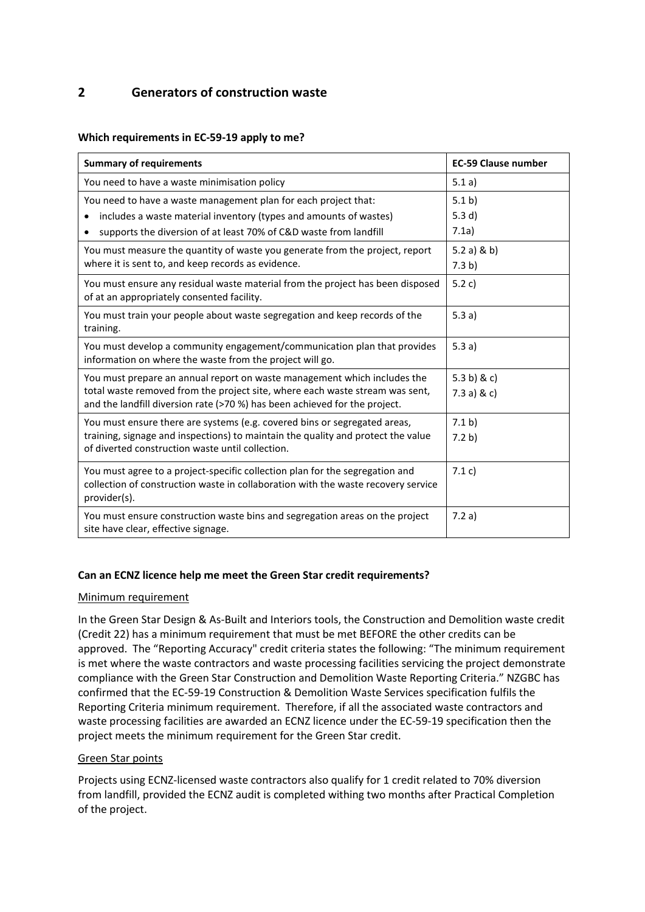# **2 Generators of construction waste**

### **Which requirements in EC-59-19 apply to me?**

| <b>Summary of requirements</b>                                                                                                                                                    | <b>EC-59 Clause number</b> |
|-----------------------------------------------------------------------------------------------------------------------------------------------------------------------------------|----------------------------|
| You need to have a waste minimisation policy                                                                                                                                      | 5.1 a)                     |
| You need to have a waste management plan for each project that:                                                                                                                   | 5.1 b)                     |
| includes a waste material inventory (types and amounts of wastes)<br>٠                                                                                                            | 5.3 $d)$                   |
| supports the diversion of at least 70% of C&D waste from landfill<br>٠                                                                                                            | 7.1a)                      |
| You must measure the quantity of waste you generate from the project, report                                                                                                      | 5.2 a) & b)                |
| where it is sent to, and keep records as evidence.                                                                                                                                | 7.3 b)                     |
| You must ensure any residual waste material from the project has been disposed<br>of at an appropriately consented facility.                                                      | 5.2 c)                     |
| You must train your people about waste segregation and keep records of the<br>training.                                                                                           | 5.3 a)                     |
| You must develop a community engagement/communication plan that provides<br>information on where the waste from the project will go.                                              | 5.3a)                      |
| You must prepare an annual report on waste management which includes the                                                                                                          | 5.3 b) & c)                |
| total waste removed from the project site, where each waste stream was sent,<br>and the landfill diversion rate (>70 %) has been achieved for the project.                        | 7.3 a) $&c)$               |
| You must ensure there are systems (e.g. covered bins or segregated areas,                                                                                                         | 7.1 b)                     |
| training, signage and inspections) to maintain the quality and protect the value<br>of diverted construction waste until collection.                                              | 7.2 b)                     |
| You must agree to a project-specific collection plan for the segregation and<br>collection of construction waste in collaboration with the waste recovery service<br>provider(s). | 7.1 c)                     |
| You must ensure construction waste bins and segregation areas on the project<br>site have clear, effective signage.                                                               | 7.2a)                      |

### **Can an ECNZ licence help me meet the Green Star credit requirements?**

### Minimum requirement

In the Green Star Design & As-Built and Interiors tools, the Construction and Demolition waste credit (Credit 22) has a minimum requirement that must be met BEFORE the other credits can be approved. The "Reporting Accuracy" credit criteria states the following: "The minimum requirement is met where the waste contractors and waste processing facilities servicing the project demonstrate compliance with the Green Star Construction and Demolition Waste Reporting Criteria." NZGBC has confirmed that the EC-59-19 Construction & Demolition Waste Services specification fulfils the Reporting Criteria minimum requirement. Therefore, if all the associated waste contractors and waste processing facilities are awarded an ECNZ licence under the EC-59-19 specification then the project meets the minimum requirement for the Green Star credit.

### Green Star points

Projects using ECNZ-licensed waste contractors also qualify for 1 credit related to 70% diversion from landfill, provided the ECNZ audit is completed withing two months after Practical Completion of the project.